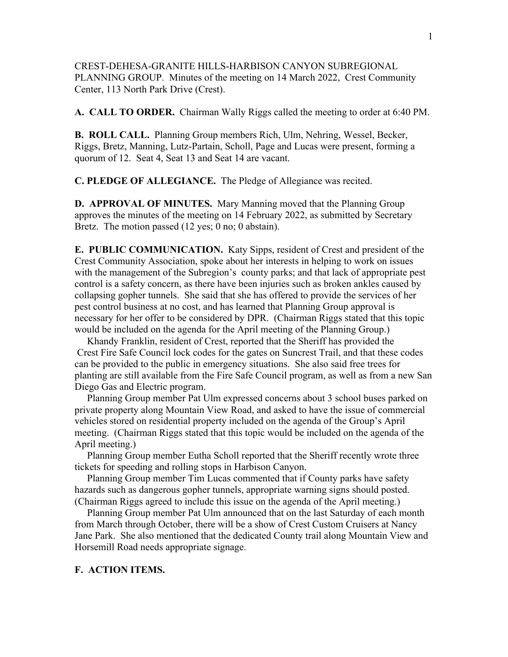CREST-DEHESA-GRANITE HILLS-HARBISON CANYON SUBREGIONAL PLANNING GROUP. Minutes of the meeting on 14 March 2022, Crest Community Center, 113 North Park Drive (Crest).

**A. CALL TO ORDER.** Chairman Wally Riggs called the meeting to order at 6:40 PM.

**B. ROLL CALL.** Planning Group members Rich, Ulm, Nehring, Wessel, Becker, Riggs, Bretz, Manning, Lutz-Partain, Scholl, Page and Lucas were present, forming a quorum of 12. Seat 4, Seat 13 and Seat 14 are vacant.

**C. PLEDGE OF ALLEGIANCE.** The Pledge of Allegiance was recited.

**D. APPROVAL OF MINUTES.** Mary Manning moved that the Planning Group approves the minutes of the meeting on 14 February 2022, as submitted by Secretary Bretz. The motion passed (12 yes; 0 no; 0 abstain).

**E. PUBLIC COMMUNICATION.** Katy Sipps, resident of Crest and president of the Crest Community Association, spoke about her interests in helping to work on issues with the management of the Subregion's county parks; and that lack of appropriate pest control is a safety concern, as there have been injuries such as broken ankles caused by collapsing gopher tunnels. She said that she has offered to provide the services of her pest control business at no cost, and has learned that Planning Group approval is necessary for her offer to be considered by DPR. (Chairman Riggs stated that this topic would be included on the agenda for the April meeting of the Planning Group.)

 Khandy Franklin, resident of Crest, reported that the Sheriff has provided the Crest Fire Safe Council lock codes for the gates on Suncrest Trail, and that these codes can be provided to the public in emergency situations. She also said free trees for planting are still available from the Fire Safe Council program, as well as from a new San Diego Gas and Electric program.

 Planning Group member Pat Ulm expressed concerns about 3 school buses parked on private property along Mountain View Road, and asked to have the issue of commercial vehicles stored on residential property included on the agenda of the Group's April meeting. (Chairman Riggs stated that this topic would be included on the agenda of the April meeting.)

 Planning Group member Eutha Scholl reported that the Sheriff recently wrote three tickets for speeding and rolling stops in Harbison Canyon.

 Planning Group member Tim Lucas commented that if County parks have safety hazards such as dangerous gopher tunnels, appropriate warning signs should posted. (Chairman Riggs agreed to include this issue on the agenda of the April meeting.)

 Planning Group member Pat Ulm announced that on the last Saturday of each month from March through October, there will be a show of Crest Custom Cruisers at Nancy Jane Park. She also mentioned that the dedicated County trail along Mountain View and Horsemill Road needs appropriate signage.

## **F. ACTION ITEMS.**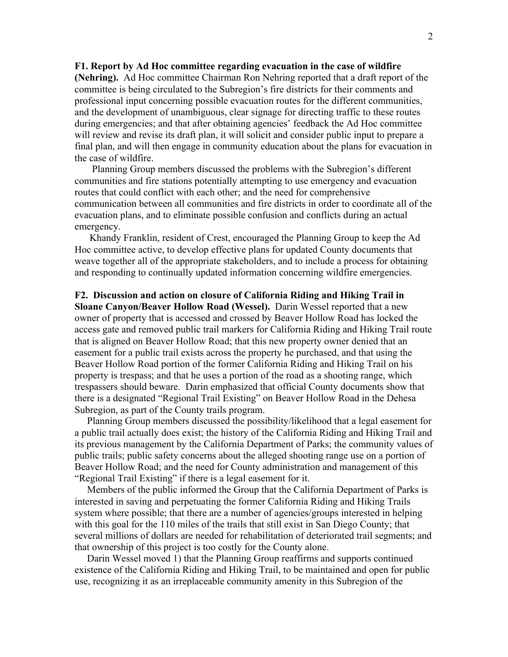## **F1. Report by Ad Hoc committee regarding evacuation in the case of wildfire**

**(Nehring).** Ad Hoc committee Chairman Ron Nehring reported that a draft report of the committee is being circulated to the Subregion's fire districts for their comments and professional input concerning possible evacuation routes for the different communities, and the development of unambiguous, clear signage for directing traffic to these routes during emergencies; and that after obtaining agencies' feedback the Ad Hoc committee will review and revise its draft plan, it will solicit and consider public input to prepare a final plan, and will then engage in community education about the plans for evacuation in the case of wildfire.

 Planning Group members discussed the problems with the Subregion's different communities and fire stations potentially attempting to use emergency and evacuation routes that could conflict with each other; and the need for comprehensive communication between all communities and fire districts in order to coordinate all of the evacuation plans, and to eliminate possible confusion and conflicts during an actual emergency.

 Khandy Franklin, resident of Crest, encouraged the Planning Group to keep the Ad Hoc committee active, to develop effective plans for updated County documents that weave together all of the appropriate stakeholders, and to include a process for obtaining and responding to continually updated information concerning wildfire emergencies.

## **F2. Discussion and action on closure of California Riding and Hiking Trail in Sloane Canyon/Beaver Hollow Road (Wessel).** Darin Wessel reported that a new owner of property that is accessed and crossed by Beaver Hollow Road has locked the access gate and removed public trail markers for California Riding and Hiking Trail route that is aligned on Beaver Hollow Road; that this new property owner denied that an easement for a public trail exists across the property he purchased, and that using the Beaver Hollow Road portion of the former California Riding and Hiking Trail on his property is trespass; and that he uses a portion of the road as a shooting range, which trespassers should beware. Darin emphasized that official County documents show that there is a designated "Regional Trail Existing" on Beaver Hollow Road in the Dehesa Subregion, as part of the County trails program.

 Planning Group members discussed the possibility/likelihood that a legal easement for a public trail actually does exist; the history of the California Riding and Hiking Trail and its previous management by the California Department of Parks; the community values of public trails; public safety concerns about the alleged shooting range use on a portion of Beaver Hollow Road; and the need for County administration and management of this "Regional Trail Existing" if there is a legal easement for it.

 Members of the public informed the Group that the California Department of Parks is interested in saving and perpetuating the former California Riding and Hiking Trails system where possible; that there are a number of agencies/groups interested in helping with this goal for the 110 miles of the trails that still exist in San Diego County; that several millions of dollars are needed for rehabilitation of deteriorated trail segments; and that ownership of this project is too costly for the County alone.

 Darin Wessel moved 1) that the Planning Group reaffirms and supports continued existence of the California Riding and Hiking Trail, to be maintained and open for public use, recognizing it as an irreplaceable community amenity in this Subregion of the